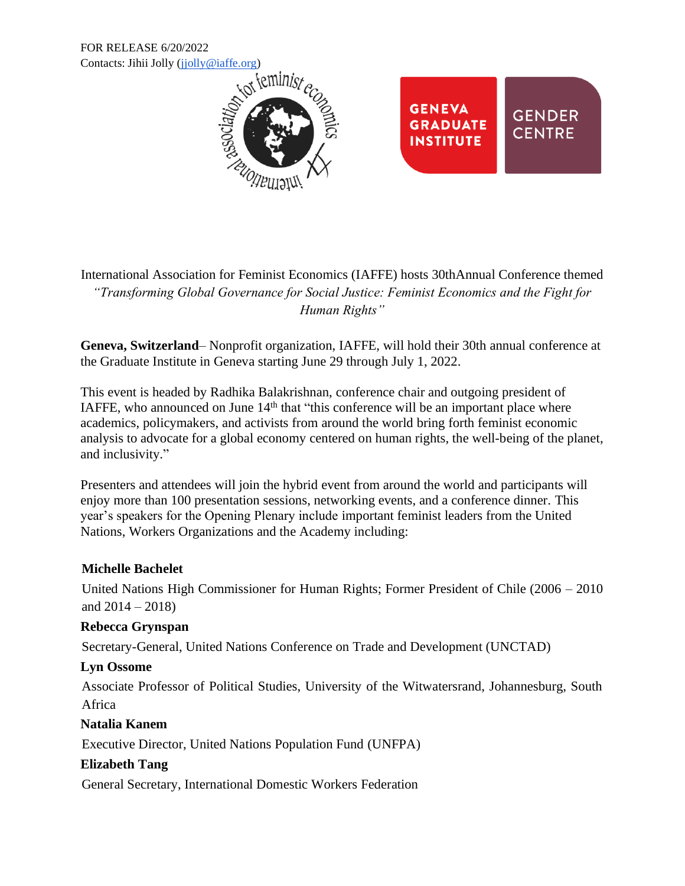FOR RELEASE 6/20/2022



International Association for Feminist Economics (IAFFE) hosts 30thAnnual Conference themed *"Transforming Global Governance for Social Justice: Feminist Economics and the Fight for Human Rights"*

**Geneva, Switzerland**– Nonprofit organization, IAFFE, will hold their 30th annual conference at the Graduate Institute in Geneva starting June 29 through July 1, 2022.

This event is headed by Radhika Balakrishnan, conference chair and outgoing president of IAFFE, who announced on June  $14<sup>th</sup>$  that "this conference will be an important place where academics, policymakers, and activists from around the world bring forth feminist economic analysis to advocate for a global economy centered on human rights, the well-being of the planet, and inclusivity."

Presenters and attendees will join the hybrid event from around the world and participants will enjoy more than 100 presentation sessions, networking events, and a conference dinner. This year's speakers for the Opening Plenary include important feminist leaders from the United Nations, Workers Organizations and the Academy including:

### **Michelle Bachelet**

United Nations High Commissioner for Human Rights; Former President of Chile (2006 – 2010 and  $2014 - 2018$ )

# **Rebecca Grynspan**

Secretary-General, United Nations Conference on Trade and Development (UNCTAD)

### **Lyn Ossome**

Associate Professor of Political Studies, University of the Witwatersrand, Johannesburg, South Africa

# **Natalia Kanem**

Executive Director, United Nations Population Fund (UNFPA)

# **Elizabeth Tang**

General Secretary, International Domestic Workers Federation